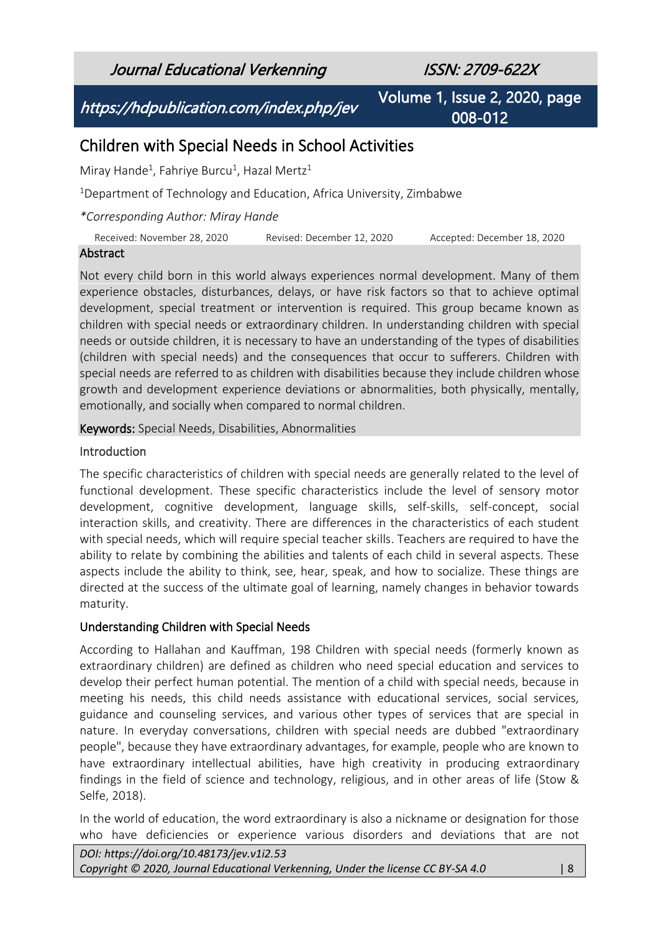Journal Educational Verkenning ISSN: 2709-622X

https://hdpublication.com/index.php/jev

Volume 1, Issue 2, 2020, page 008-012

# Children with Special Needs in School Activities

Miray Hande<sup>1</sup>, Fahriye Burcu<sup>1</sup>, Hazal Mertz<sup>1</sup>

<sup>1</sup>Department of Technology and Education, Africa University, Zimbabwe

*\*Corresponding Author: Miray Hande*

Received: November 28, 2020 Revised: December 12, 2020 Accepted: December 18, 2020

#### Abstract

Not every child born in this world always experiences normal development. Many of them experience obstacles, disturbances, delays, or have risk factors so that to achieve optimal development, special treatment or intervention is required. This group became known as children with special needs or extraordinary children. In understanding children with special needs or outside children, it is necessary to have an understanding of the types of disabilities (children with special needs) and the consequences that occur to sufferers. Children with special needs are referred to as children with disabilities because they include children whose growth and development experience deviations or abnormalities, both physically, mentally, emotionally, and socially when compared to normal children.

Keywords: Special Needs, Disabilities, Abnormalities

#### Introduction

The specific characteristics of children with special needs are generally related to the level of functional development. These specific characteristics include the level of sensory motor development, cognitive development, language skills, self-skills, self-concept, social interaction skills, and creativity. There are differences in the characteristics of each student with special needs, which will require special teacher skills. Teachers are required to have the ability to relate by combining the abilities and talents of each child in several aspects. These aspects include the ability to think, see, hear, speak, and how to socialize. These things are directed at the success of the ultimate goal of learning, namely changes in behavior towards maturity.

## Understanding Children with Special Needs

According to Hallahan and Kauffman, 198 Children with special needs (formerly known as extraordinary children) are defined as children who need special education and services to develop their perfect human potential. The mention of a child with special needs, because in meeting his needs, this child needs assistance with educational services, social services, guidance and counseling services, and various other types of services that are special in nature. In everyday conversations, children with special needs are dubbed "extraordinary people", because they have extraordinary advantages, for example, people who are known to have extraordinary intellectual abilities, have high creativity in producing extraordinary findings in the field of science and technology, religious, and in other areas of life (Stow & Selfe, 2018).

In the world of education, the word extraordinary is also a nickname or designation for those who have deficiencies or experience various disorders and deviations that are not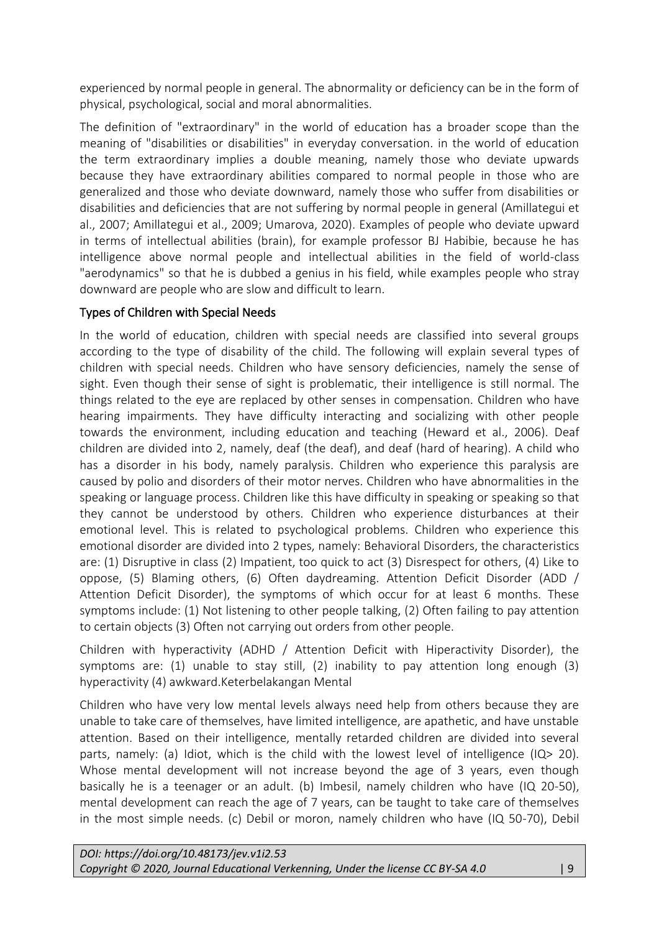experienced by normal people in general. The abnormality or deficiency can be in the form of physical, psychological, social and moral abnormalities.

The definition of "extraordinary" in the world of education has a broader scope than the meaning of "disabilities or disabilities" in everyday conversation. in the world of education the term extraordinary implies a double meaning, namely those who deviate upwards because they have extraordinary abilities compared to normal people in those who are generalized and those who deviate downward, namely those who suffer from disabilities or disabilities and deficiencies that are not suffering by normal people in general (Amillategui et al., 2007; Amillategui et al., 2009; Umarova, 2020). Examples of people who deviate upward in terms of intellectual abilities (brain), for example professor BJ Habibie, because he has intelligence above normal people and intellectual abilities in the field of world-class "aerodynamics" so that he is dubbed a genius in his field, while examples people who stray downward are people who are slow and difficult to learn.

# Types of Children with Special Needs

In the world of education, children with special needs are classified into several groups according to the type of disability of the child. The following will explain several types of children with special needs. Children who have sensory deficiencies, namely the sense of sight. Even though their sense of sight is problematic, their intelligence is still normal. The things related to the eye are replaced by other senses in compensation. Children who have hearing impairments. They have difficulty interacting and socializing with other people towards the environment, including education and teaching (Heward et al., 2006). Deaf children are divided into 2, namely, deaf (the deaf), and deaf (hard of hearing). A child who has a disorder in his body, namely paralysis. Children who experience this paralysis are caused by polio and disorders of their motor nerves. Children who have abnormalities in the speaking or language process. Children like this have difficulty in speaking or speaking so that they cannot be understood by others. Children who experience disturbances at their emotional level. This is related to psychological problems. Children who experience this emotional disorder are divided into 2 types, namely: Behavioral Disorders, the characteristics are: (1) Disruptive in class (2) Impatient, too quick to act (3) Disrespect for others, (4) Like to oppose, (5) Blaming others, (6) Often daydreaming. Attention Deficit Disorder (ADD / Attention Deficit Disorder), the symptoms of which occur for at least 6 months. These symptoms include: (1) Not listening to other people talking, (2) Often failing to pay attention to certain objects (3) Often not carrying out orders from other people.

Children with hyperactivity (ADHD / Attention Deficit with Hiperactivity Disorder), the symptoms are: (1) unable to stay still, (2) inability to pay attention long enough (3) hyperactivity (4) awkward.Keterbelakangan Mental

Children who have very low mental levels always need help from others because they are unable to take care of themselves, have limited intelligence, are apathetic, and have unstable attention. Based on their intelligence, mentally retarded children are divided into several parts, namely: (a) Idiot, which is the child with the lowest level of intelligence (IQ $> 20$ ). Whose mental development will not increase beyond the age of 3 years, even though basically he is a teenager or an adult. (b) Imbesil, namely children who have (IQ 20-50), mental development can reach the age of 7 years, can be taught to take care of themselves in the most simple needs. (c) Debil or moron, namely children who have (IQ 50-70), Debil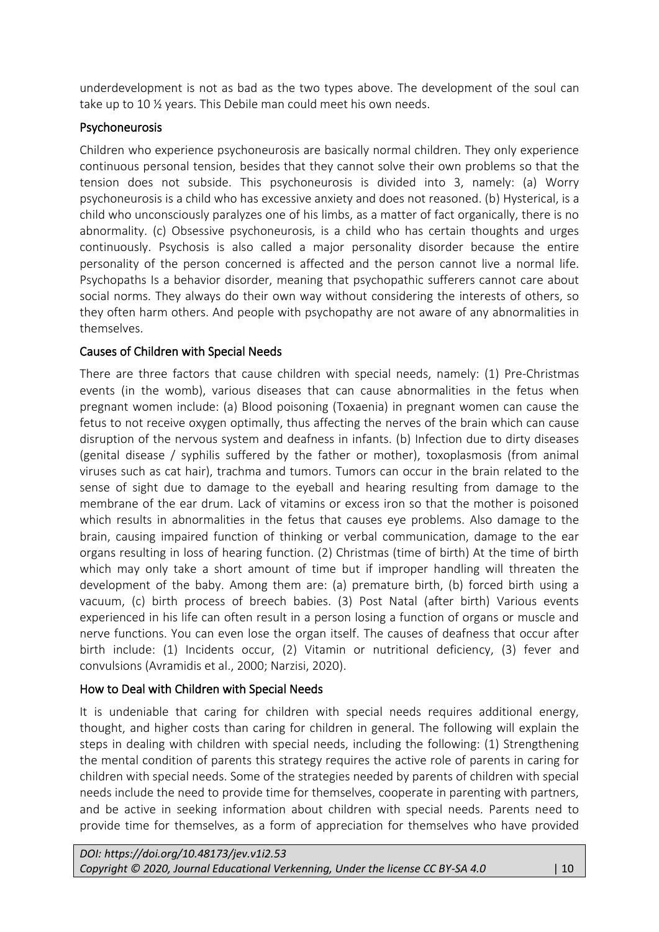underdevelopment is not as bad as the two types above. The development of the soul can take up to 10 ½ years. This Debile man could meet his own needs.

## Psychoneurosis

Children who experience psychoneurosis are basically normal children. They only experience continuous personal tension, besides that they cannot solve their own problems so that the tension does not subside. This psychoneurosis is divided into 3, namely: (a) Worry psychoneurosis is a child who has excessive anxiety and does not reasoned. (b) Hysterical, is a child who unconsciously paralyzes one of his limbs, as a matter of fact organically, there is no abnormality. (c) Obsessive psychoneurosis, is a child who has certain thoughts and urges continuously. Psychosis is also called a major personality disorder because the entire personality of the person concerned is affected and the person cannot live a normal life. Psychopaths Is a behavior disorder, meaning that psychopathic sufferers cannot care about social norms. They always do their own way without considering the interests of others, so they often harm others. And people with psychopathy are not aware of any abnormalities in themselves.

# Causes of Children with Special Needs

There are three factors that cause children with special needs, namely: (1) Pre-Christmas events (in the womb), various diseases that can cause abnormalities in the fetus when pregnant women include: (a) Blood poisoning (Toxaenia) in pregnant women can cause the fetus to not receive oxygen optimally, thus affecting the nerves of the brain which can cause disruption of the nervous system and deafness in infants. (b) Infection due to dirty diseases (genital disease / syphilis suffered by the father or mother), toxoplasmosis (from animal viruses such as cat hair), trachma and tumors. Tumors can occur in the brain related to the sense of sight due to damage to the eyeball and hearing resulting from damage to the membrane of the ear drum. Lack of vitamins or excess iron so that the mother is poisoned which results in abnormalities in the fetus that causes eye problems. Also damage to the brain, causing impaired function of thinking or verbal communication, damage to the ear organs resulting in loss of hearing function. (2) Christmas (time of birth) At the time of birth which may only take a short amount of time but if improper handling will threaten the development of the baby. Among them are: (a) premature birth, (b) forced birth using a vacuum, (c) birth process of breech babies. (3) Post Natal (after birth) Various events experienced in his life can often result in a person losing a function of organs or muscle and nerve functions. You can even lose the organ itself. The causes of deafness that occur after birth include: (1) Incidents occur, (2) Vitamin or nutritional deficiency, (3) fever and convulsions (Avramidis et al., 2000; Narzisi, 2020).

## How to Deal with Children with Special Needs

It is undeniable that caring for children with special needs requires additional energy, thought, and higher costs than caring for children in general. The following will explain the steps in dealing with children with special needs, including the following: (1) Strengthening the mental condition of parents this strategy requires the active role of parents in caring for children with special needs. Some of the strategies needed by parents of children with special needs include the need to provide time for themselves, cooperate in parenting with partners, and be active in seeking information about children with special needs. Parents need to provide time for themselves, as a form of appreciation for themselves who have provided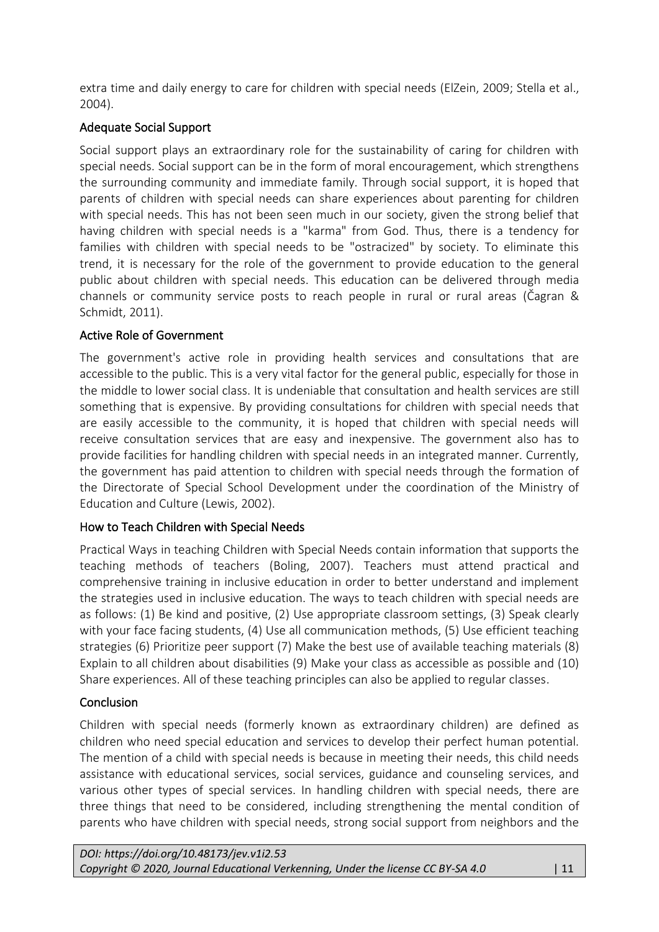extra time and daily energy to care for children with special needs (ElZein, 2009; Stella et al., 2004).

# Adequate Social Support

Social support plays an extraordinary role for the sustainability of caring for children with special needs. Social support can be in the form of moral encouragement, which strengthens the surrounding community and immediate family. Through social support, it is hoped that parents of children with special needs can share experiences about parenting for children with special needs. This has not been seen much in our society, given the strong belief that having children with special needs is a "karma" from God. Thus, there is a tendency for families with children with special needs to be "ostracized" by society. To eliminate this trend, it is necessary for the role of the government to provide education to the general public about children with special needs. This education can be delivered through media channels or community service posts to reach people in rural or rural areas (Čagran & Schmidt, 2011).

## Active Role of Government

The government's active role in providing health services and consultations that are accessible to the public. This is a very vital factor for the general public, especially for those in the middle to lower social class. It is undeniable that consultation and health services are still something that is expensive. By providing consultations for children with special needs that are easily accessible to the community, it is hoped that children with special needs will receive consultation services that are easy and inexpensive. The government also has to provide facilities for handling children with special needs in an integrated manner. Currently, the government has paid attention to children with special needs through the formation of the Directorate of Special School Development under the coordination of the Ministry of Education and Culture (Lewis, 2002).

## How to Teach Children with Special Needs

Practical Ways in teaching Children with Special Needs contain information that supports the teaching methods of teachers (Boling, 2007). Teachers must attend practical and comprehensive training in inclusive education in order to better understand and implement the strategies used in inclusive education. The ways to teach children with special needs are as follows: (1) Be kind and positive, (2) Use appropriate classroom settings, (3) Speak clearly with your face facing students, (4) Use all communication methods, (5) Use efficient teaching strategies (6) Prioritize peer support (7) Make the best use of available teaching materials (8) Explain to all children about disabilities (9) Make your class as accessible as possible and (10) Share experiences. All of these teaching principles can also be applied to regular classes.

## **Conclusion**

Children with special needs (formerly known as extraordinary children) are defined as children who need special education and services to develop their perfect human potential. The mention of a child with special needs is because in meeting their needs, this child needs assistance with educational services, social services, guidance and counseling services, and various other types of special services. In handling children with special needs, there are three things that need to be considered, including strengthening the mental condition of parents who have children with special needs, strong social support from neighbors and the